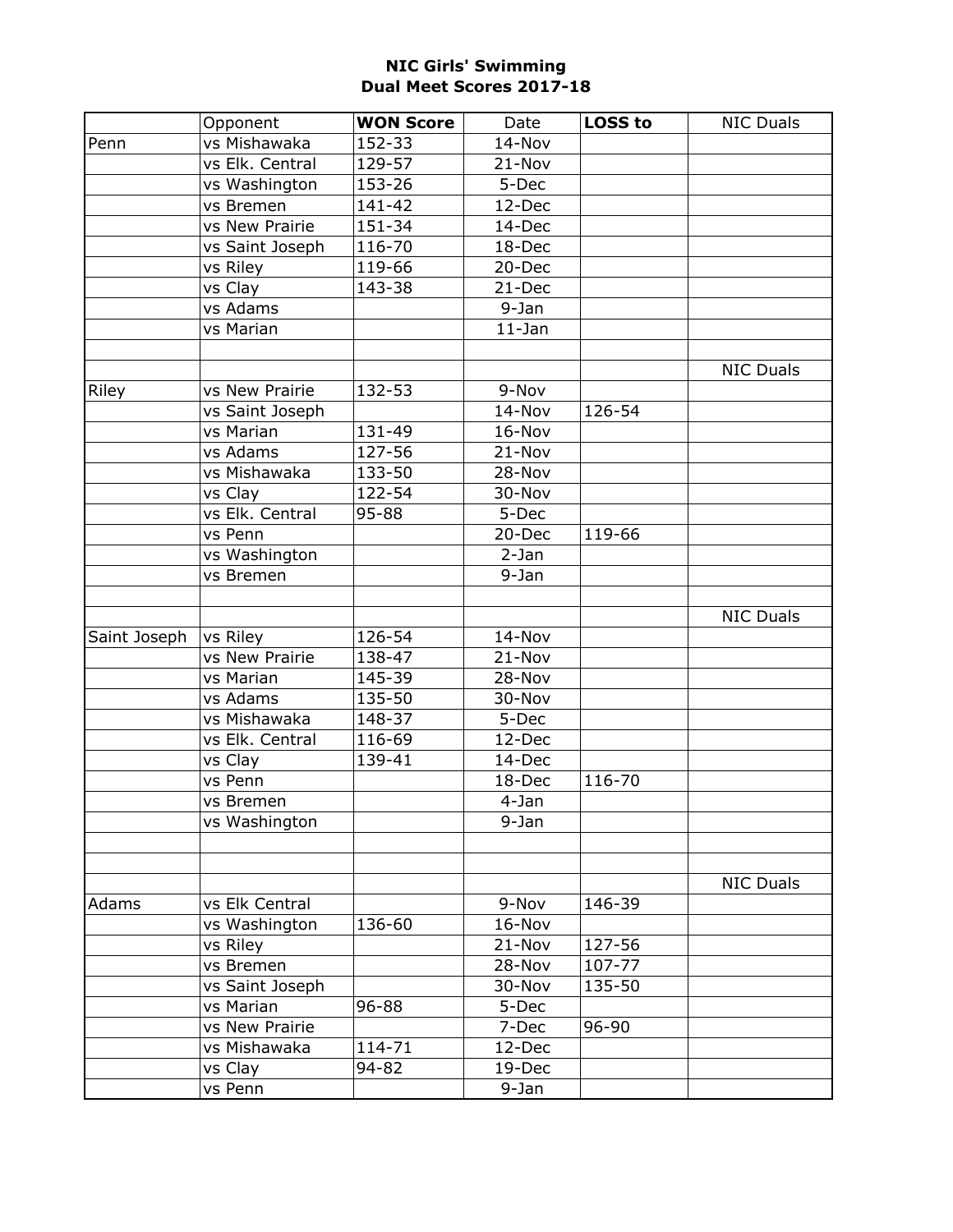|              | Opponent        | <b>WON Score</b> | Date       | <b>LOSS to</b> | <b>NIC Duals</b> |
|--------------|-----------------|------------------|------------|----------------|------------------|
| Penn         | vs Mishawaka    | 152-33           | 14-Nov     |                |                  |
|              | vs Elk. Central | 129-57           | 21-Nov     |                |                  |
|              | vs Washington   | 153-26           | 5-Dec      |                |                  |
|              | vs Bremen       | 141-42           | 12-Dec     |                |                  |
|              | vs New Prairie  | 151-34           | 14-Dec     |                |                  |
|              | vs Saint Joseph | 116-70           | 18-Dec     |                |                  |
|              | vs Riley        | 119-66           | 20-Dec     |                |                  |
|              | vs Clay         | 143-38           | 21-Dec     |                |                  |
|              | vs Adams        |                  | 9-Jan      |                |                  |
|              | vs Marian       |                  | $11$ -Jan  |                |                  |
|              |                 |                  |            |                |                  |
|              |                 |                  |            |                | <b>NIC Duals</b> |
| Riley        | vs New Prairie  | 132-53           | 9-Nov      |                |                  |
|              | vs Saint Joseph |                  | 14-Nov     | 126-54         |                  |
|              | vs Marian       | 131-49           | 16-Nov     |                |                  |
|              | vs Adams        | 127-56           | 21-Nov     |                |                  |
|              | vs Mishawaka    | 133-50           | 28-Nov     |                |                  |
|              | vs Clay         | 122-54           | 30-Nov     |                |                  |
|              | vs Elk. Central | 95-88            | 5-Dec      |                |                  |
|              | vs Penn         |                  | 20-Dec     | 119-66         |                  |
|              | vs Washington   |                  | $2 - Jan$  |                |                  |
|              | vs Bremen       |                  | 9-Jan      |                |                  |
|              |                 |                  |            |                |                  |
|              |                 |                  |            |                | <b>NIC Duals</b> |
| Saint Joseph | vs Riley        | 126-54           | 14-Nov     |                |                  |
|              | vs New Prairie  | 138-47           | 21-Nov     |                |                  |
|              | vs Marian       | 145-39           | 28-Nov     |                |                  |
|              | vs Adams        | 135-50           | 30-Nov     |                |                  |
|              | vs Mishawaka    | 148-37           | 5-Dec      |                |                  |
|              | vs Elk. Central | 116-69           | 12-Dec     |                |                  |
|              | vs Clay         | 139-41           | 14-Dec     |                |                  |
|              | vs Penn         |                  | 18-Dec     | 116-70         |                  |
|              | vs Bremen       |                  | 4-Jan      |                |                  |
|              | vs Washington   |                  | 9-Jan      |                |                  |
|              |                 |                  |            |                |                  |
|              |                 |                  |            |                |                  |
|              |                 |                  |            |                | <b>NIC Duals</b> |
| Adams        | vs Elk Central  |                  | 9-Nov      | 146-39         |                  |
|              | vs Washington   | 136-60           | 16-Nov     |                |                  |
|              | vs Riley        |                  | $21 - Nov$ | 127-56         |                  |
|              | vs Bremen       |                  | 28-Nov     | 107-77         |                  |
|              | vs Saint Joseph |                  | 30-Nov     | 135-50         |                  |
|              | vs Marian       | 96-88            | 5-Dec      |                |                  |
|              | vs New Prairie  |                  | 7-Dec      | 96-90          |                  |
|              | vs Mishawaka    | 114-71           | 12-Dec     |                |                  |
|              | vs Clay         | 94-82            | 19-Dec     |                |                  |
|              | vs Penn         |                  | 9-Jan      |                |                  |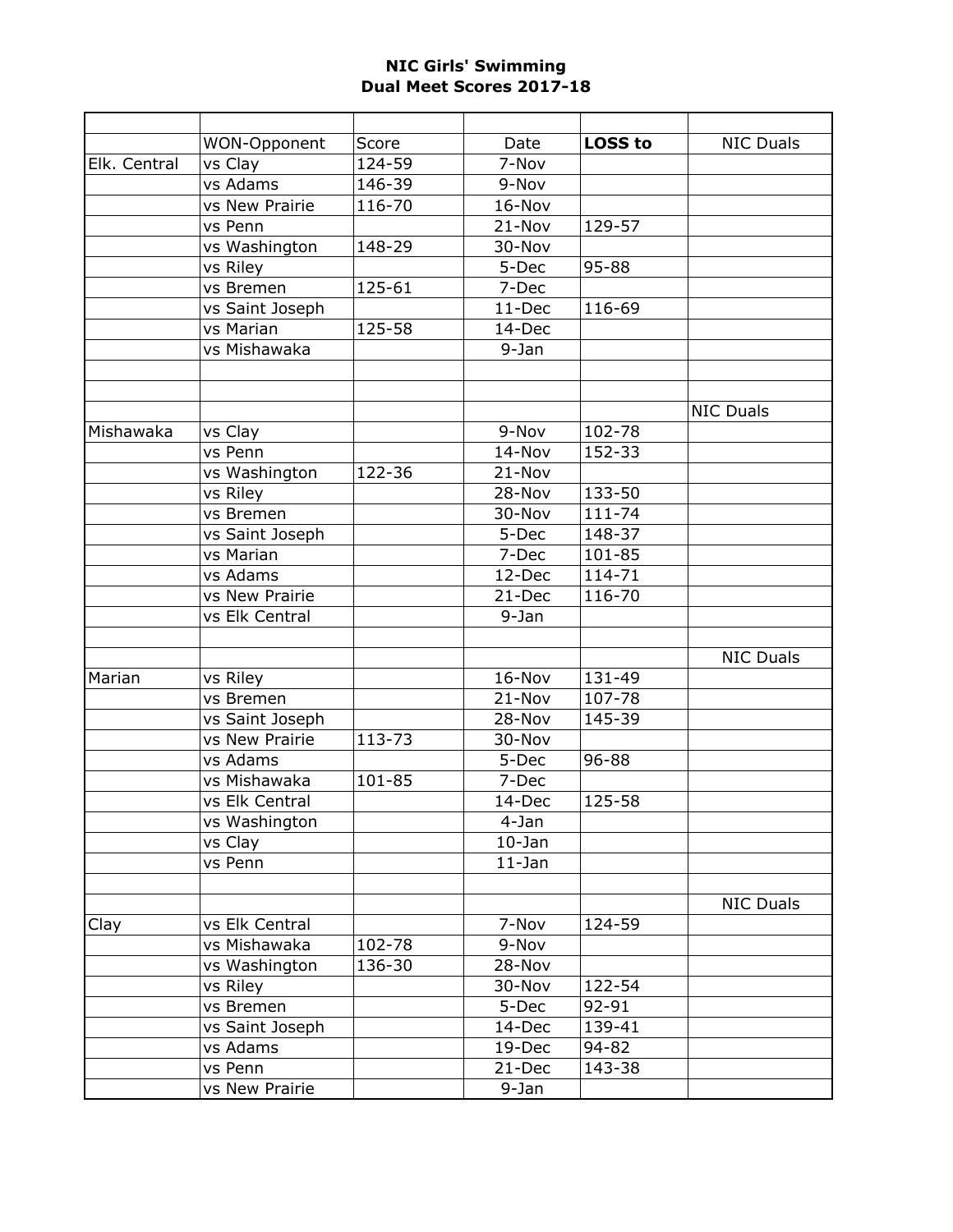|              | WON-Opponent    | Score  | Date       | <b>LOSS to</b> | <b>NIC Duals</b> |
|--------------|-----------------|--------|------------|----------------|------------------|
| Elk. Central | vs Clay         | 124-59 | 7-Nov      |                |                  |
|              | vs Adams        | 146-39 | 9-Nov      |                |                  |
|              | vs New Prairie  | 116-70 | 16-Nov     |                |                  |
|              | vs Penn         |        | 21-Nov     | 129-57         |                  |
|              | vs Washington   | 148-29 | 30-Nov     |                |                  |
|              | vs Riley        |        | 5-Dec      | 95-88          |                  |
|              | vs Bremen       | 125-61 | 7-Dec      |                |                  |
|              | vs Saint Joseph |        | 11-Dec     | 116-69         |                  |
|              | vs Marian       | 125-58 | 14-Dec     |                |                  |
|              | vs Mishawaka    |        | 9-Jan      |                |                  |
|              |                 |        |            |                |                  |
|              |                 |        |            |                |                  |
|              |                 |        |            |                | <b>NIC Duals</b> |
| Mishawaka    | vs Clay         |        | 9-Nov      | 102-78         |                  |
|              | vs Penn         |        | 14-Nov     | 152-33         |                  |
|              | vs Washington   | 122-36 | 21-Nov     |                |                  |
|              | vs Riley        |        | 28-Nov     | 133-50         |                  |
|              | vs Bremen       |        | 30-Nov     | 111-74         |                  |
|              | vs Saint Joseph |        | 5-Dec      | 148-37         |                  |
|              | vs Marian       |        | 7-Dec      | 101-85         |                  |
|              | vs Adams        |        | 12-Dec     | 114-71         |                  |
|              | vs New Prairie  |        | 21-Dec     | 116-70         |                  |
|              | vs Elk Central  |        | 9-Jan      |                |                  |
|              |                 |        |            |                |                  |
|              |                 |        |            |                | <b>NIC Duals</b> |
| Marian       | vs Riley        |        | 16-Nov     | 131-49         |                  |
|              | vs Bremen       |        | 21-Nov     | 107-78         |                  |
|              | vs Saint Joseph |        | 28-Nov     | 145-39         |                  |
|              | vs New Prairie  | 113-73 | 30-Nov     |                |                  |
|              | vs Adams        |        | 5-Dec      | 96-88          |                  |
|              | vs Mishawaka    | 101-85 | 7-Dec      |                |                  |
|              | vs Elk Central  |        | 14-Dec     | 125-58         |                  |
|              | vs Washington   |        | 4-Jan      |                |                  |
|              | vs Clay         |        | $10-$ Jan  |                |                  |
|              | vs Penn         |        | $11 - Jan$ |                |                  |
|              |                 |        |            |                |                  |
|              |                 |        |            |                | <b>NIC Duals</b> |
| Clay         | vs Elk Central  |        | 7-Nov      | 124-59         |                  |
|              | vs Mishawaka    | 102-78 | 9-Nov      |                |                  |
|              | vs Washington   | 136-30 | 28-Nov     |                |                  |
|              | vs Riley        |        | 30-Nov     | 122-54         |                  |
|              | vs Bremen       |        | 5-Dec      | 92-91          |                  |
|              | vs Saint Joseph |        | 14-Dec     | 139-41         |                  |
|              | vs Adams        |        | 19-Dec     | 94-82          |                  |
|              | vs Penn         |        | 21-Dec     | 143-38         |                  |
|              | vs New Prairie  |        | 9-Jan      |                |                  |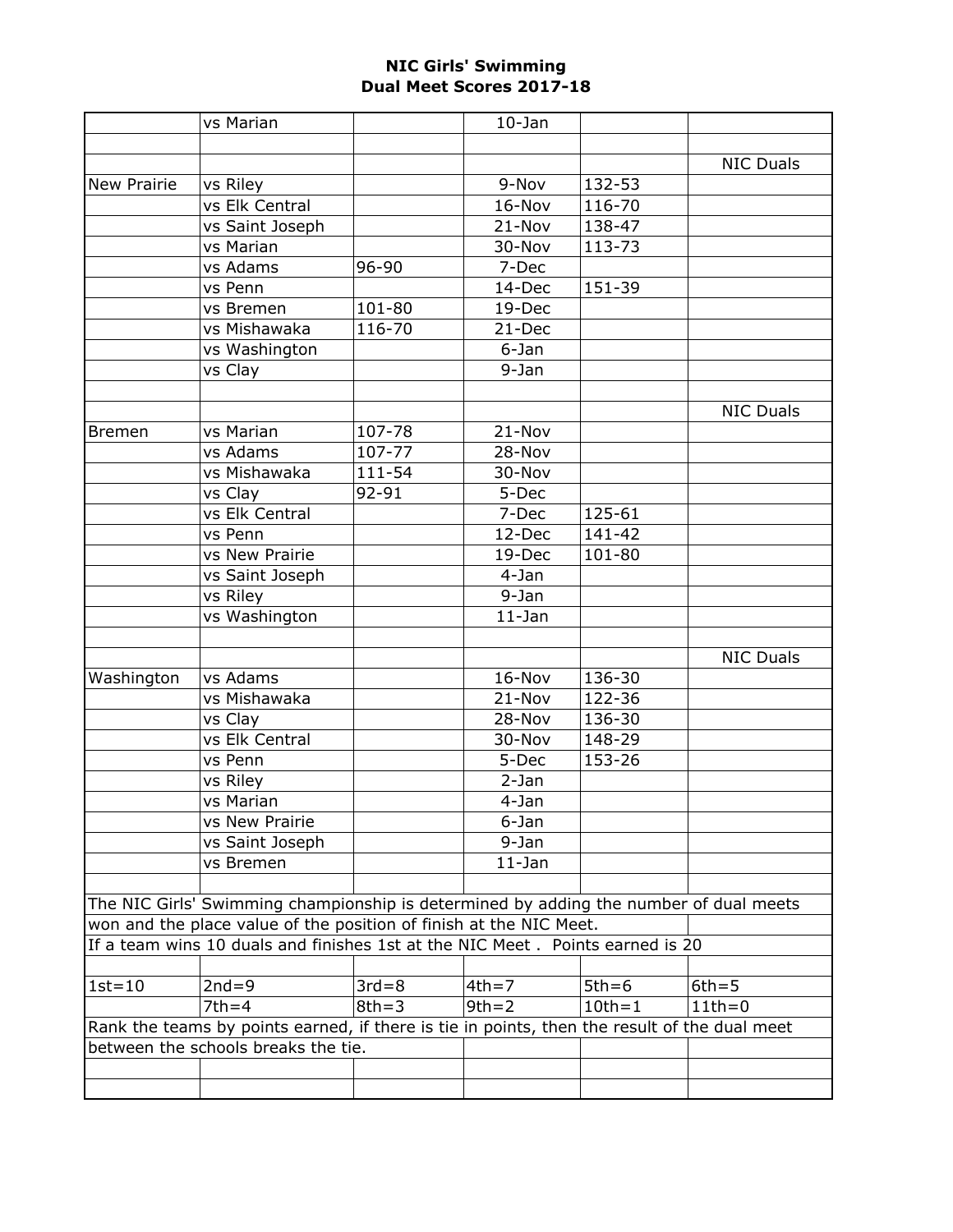|                                                                                              | vs Marian       |           | $10-$ Jan  |            |                  |  |  |
|----------------------------------------------------------------------------------------------|-----------------|-----------|------------|------------|------------------|--|--|
|                                                                                              |                 |           |            |            |                  |  |  |
|                                                                                              |                 |           |            |            | <b>NIC Duals</b> |  |  |
| <b>New Prairie</b>                                                                           | vs Riley        |           | 9-Nov      | 132-53     |                  |  |  |
|                                                                                              | vs Elk Central  |           | 16-Nov     | 116-70     |                  |  |  |
|                                                                                              | vs Saint Joseph |           | 21-Nov     | 138-47     |                  |  |  |
|                                                                                              | vs Marian       |           | 30-Nov     | 113-73     |                  |  |  |
|                                                                                              | vs Adams        | 96-90     | 7-Dec      |            |                  |  |  |
|                                                                                              | vs Penn         |           | 14-Dec     | 151-39     |                  |  |  |
|                                                                                              | vs Bremen       | 101-80    | 19-Dec     |            |                  |  |  |
|                                                                                              | vs Mishawaka    | 116-70    | 21-Dec     |            |                  |  |  |
|                                                                                              | vs Washington   |           | 6-Jan      |            |                  |  |  |
|                                                                                              | vs Clay         |           | 9-Jan      |            |                  |  |  |
|                                                                                              |                 |           |            |            |                  |  |  |
|                                                                                              |                 |           |            |            | <b>NIC Duals</b> |  |  |
| <b>Bremen</b>                                                                                | vs Marian       | 107-78    | 21-Nov     |            |                  |  |  |
|                                                                                              | vs Adams        | 107-77    | 28-Nov     |            |                  |  |  |
|                                                                                              | vs Mishawaka    | 111-54    | 30-Nov     |            |                  |  |  |
|                                                                                              | vs Clay         | 92-91     | 5-Dec      |            |                  |  |  |
|                                                                                              | vs Elk Central  |           | 7-Dec      | 125-61     |                  |  |  |
|                                                                                              | vs Penn         |           | 12-Dec     | 141-42     |                  |  |  |
|                                                                                              | vs New Prairie  |           | 19-Dec     | 101-80     |                  |  |  |
|                                                                                              | vs Saint Joseph |           | 4-Jan      |            |                  |  |  |
|                                                                                              | vs Riley        |           | 9-Jan      |            |                  |  |  |
|                                                                                              | vs Washington   |           | $11$ -Jan  |            |                  |  |  |
|                                                                                              |                 |           |            |            |                  |  |  |
|                                                                                              |                 |           |            |            | <b>NIC Duals</b> |  |  |
| Washington                                                                                   | vs Adams        |           | 16-Nov     | 136-30     |                  |  |  |
|                                                                                              | vs Mishawaka    |           | $21 - Nov$ | 122-36     |                  |  |  |
|                                                                                              | vs Clay         |           | 28-Nov     | 136-30     |                  |  |  |
|                                                                                              | vs Elk Central  |           | 30-Nov     | 148-29     |                  |  |  |
|                                                                                              | vs Penn         |           | 5-Dec      | 153-26     |                  |  |  |
|                                                                                              | vs Riley        |           | $2-Jan$    |            |                  |  |  |
|                                                                                              | vs Marian       |           | 4-Jan      |            |                  |  |  |
|                                                                                              | vs New Prairie  |           | 6-Jan      |            |                  |  |  |
|                                                                                              | vs Saint Joseph |           | 9-Jan      |            |                  |  |  |
|                                                                                              | vs Bremen       |           | $11$ -Jan  |            |                  |  |  |
|                                                                                              |                 |           |            |            |                  |  |  |
| The NIC Girls' Swimming championship is determined by adding the number of dual meets        |                 |           |            |            |                  |  |  |
| won and the place value of the position of finish at the NIC Meet.                           |                 |           |            |            |                  |  |  |
| If a team wins 10 duals and finishes 1st at the NIC Meet. Points earned is 20                |                 |           |            |            |                  |  |  |
|                                                                                              |                 |           |            |            |                  |  |  |
| $1st = 10$                                                                                   | $2nd = 9$       | $3rd = 8$ | $4th = 7$  | $5th = 6$  | $6th = 5$        |  |  |
|                                                                                              | $7th = 4$       | $8th = 3$ | $9th = 2$  | $10th = 1$ | $11th=0$         |  |  |
| Rank the teams by points earned, if there is tie in points, then the result of the dual meet |                 |           |            |            |                  |  |  |
| between the schools breaks the tie.                                                          |                 |           |            |            |                  |  |  |
|                                                                                              |                 |           |            |            |                  |  |  |
|                                                                                              |                 |           |            |            |                  |  |  |